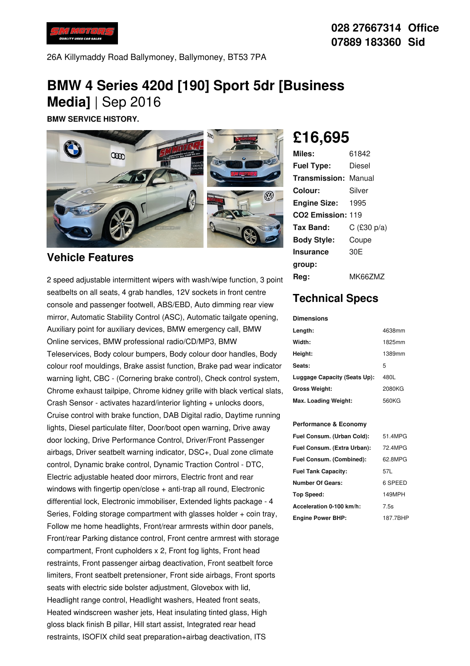

26A Killymaddy Road Ballymoney, Ballymoney, BT53 7PA

# **BMW 4 Series 420d [190] Sport 5dr [Business Media]** | Sep 2016

**BMW SERVICE HISTORY.**



### **Vehicle Features**

2 speed adjustable intermittent wipers with wash/wipe function, 3 point seatbelts on all seats, 4 grab handles, 12V sockets in front centre console and passenger footwell, ABS/EBD, Auto dimming rear view mirror, Automatic Stability Control (ASC), Automatic tailgate opening, Auxiliary point for auxiliary devices, BMW emergency call, BMW Online services, BMW professional radio/CD/MP3, BMW Teleservices, Body colour bumpers, Body colour door handles, Body colour roof mouldings, Brake assist function, Brake pad wear indicator warning light, CBC - (Cornering brake control), Check control system, Chrome exhaust tailpipe, Chrome kidney grille with black vertical slats, Crash Sensor - activates hazard/interior lighting + unlocks doors, Cruise control with brake function, DAB Digital radio, Daytime running lights, Diesel particulate filter, Door/boot open warning, Drive away door locking, Drive Performance Control, Driver/Front Passenger airbags, Driver seatbelt warning indicator, DSC+, Dual zone climate control, Dynamic brake control, Dynamic Traction Control - DTC, Electric adjustable heated door mirrors, Electric front and rear windows with fingertip open/close + anti-trap all round, Electronic differential lock, Electronic immobiliser, Extended lights package - 4 Series, Folding storage compartment with glasses holder + coin tray, Follow me home headlights, Front/rear armrests within door panels, Front/rear Parking distance control, Front centre armrest with storage compartment, Front cupholders x 2, Front fog lights, Front head restraints, Front passenger airbag deactivation, Front seatbelt force limiters, Front seatbelt pretensioner, Front side airbags, Front sports seats with electric side bolster adjustment, Glovebox with lid, Headlight range control, Headlight washers, Heated front seats, Heated windscreen washer jets, Heat insulating tinted glass, High gloss black finish B pillar, Hill start assist, Integrated rear head restraints, ISOFIX child seat preparation+airbag deactivation, ITS

# **£16,695**

| Miles:                        | 61842         |
|-------------------------------|---------------|
| <b>Fuel Type:</b>             | Diesel        |
| <b>Transmission: Manual</b>   |               |
| Colour:                       | Silver        |
| <b>Engine Size:</b>           | 1995          |
| CO <sub>2</sub> Emission: 119 |               |
| Tax Band:                     | $C$ (£30 p/a) |
| <b>Body Style:</b>            | Coupe         |
| Insurance                     | 30E           |
| group:                        |               |
| Rea:                          | MK66ZMZ       |

## **Technical Specs**

#### **Dimensions**

| Length:                      | 4638mm |
|------------------------------|--------|
| Width:                       | 1825mm |
| Height:                      | 1389mm |
| Seats:                       | 5      |
| Luggage Capacity (Seats Up): | 480L   |
| <b>Gross Weight:</b>         | 2080KG |
| Max. Loading Weight:         | 560KG  |

#### **Performance & Economy**

| Fuel Consum. (Urban Cold):  | 51 4MPG  |
|-----------------------------|----------|
| Fuel Consum. (Extra Urban): | 72 4MPG  |
| Fuel Consum. (Combined):    | 62.8MPG  |
| <b>Fuel Tank Capacity:</b>  | 57L      |
| Number Of Gears:            | 6 SPEED  |
| Top Speed:                  | 149MPH   |
| Acceleration 0-100 km/h:    | 7.5s     |
| <b>Engine Power BHP:</b>    | 187.7BHP |